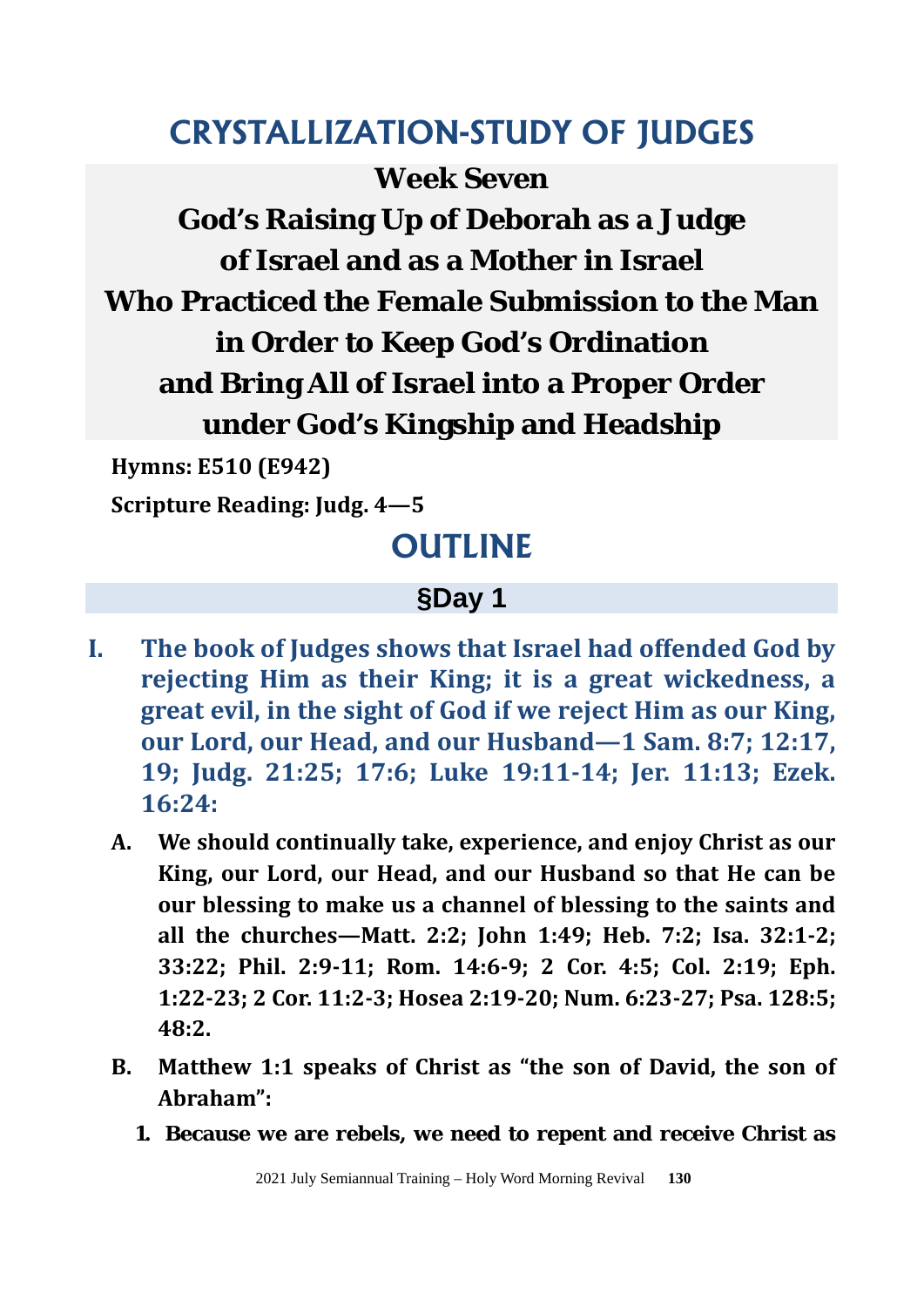# **CRYSTALLIZATION-STUDY OF JUDGES**

**Week Seven God's Raising Up of Deborah as a Judge of Israel and as a Mother in Israel Who Practiced the Female Submission to the Man in Order to Keep God's Ordination and Bring All of Israel into a Proper Order under God's Kingship and Headship**

**Hymns: E510 (E942)** 

**Scripture Reading: Judg. 4—5** 

# **OUTLINE**

## **§Day 1**

- **I. The book of Judges shows that Israel had offended God by rejecting Him as their King; it is a great wickedness, a great evil, in the sight of God if we reject Him as our King, our Lord, our Head, and our Husband—1 Sam. 8:7; 12:17, 19; Judg. 21:25; 17:6; Luke 19:11-14; Jer. 11:13; Ezek. 16:24:**
	- **A. We should continually take, experience, and enjoy Christ as our King, our Lord, our Head, and our Husband so that He can be our blessing to make us a channel of blessing to the saints and all the churches—Matt. 2:2; John 1:49; Heb. 7:2; Isa. 32:1-2; 33:22; Phil. 2:9-11; Rom. 14:6-9; 2 Cor. 4:5; Col. 2:19; Eph. 1:22-23; 2 Cor. 11:2-3; Hosea 2:19-20; Num. 6:23-27; Psa. 128:5; 48:2.**
	- **B. Matthew 1:1 speaks of Christ as "the son of David, the son of Abraham":**
		- **1. Because we are rebels, we need to repent and receive Christ as**

2021 July Semiannual Training – Holy Word Morning Revival **130**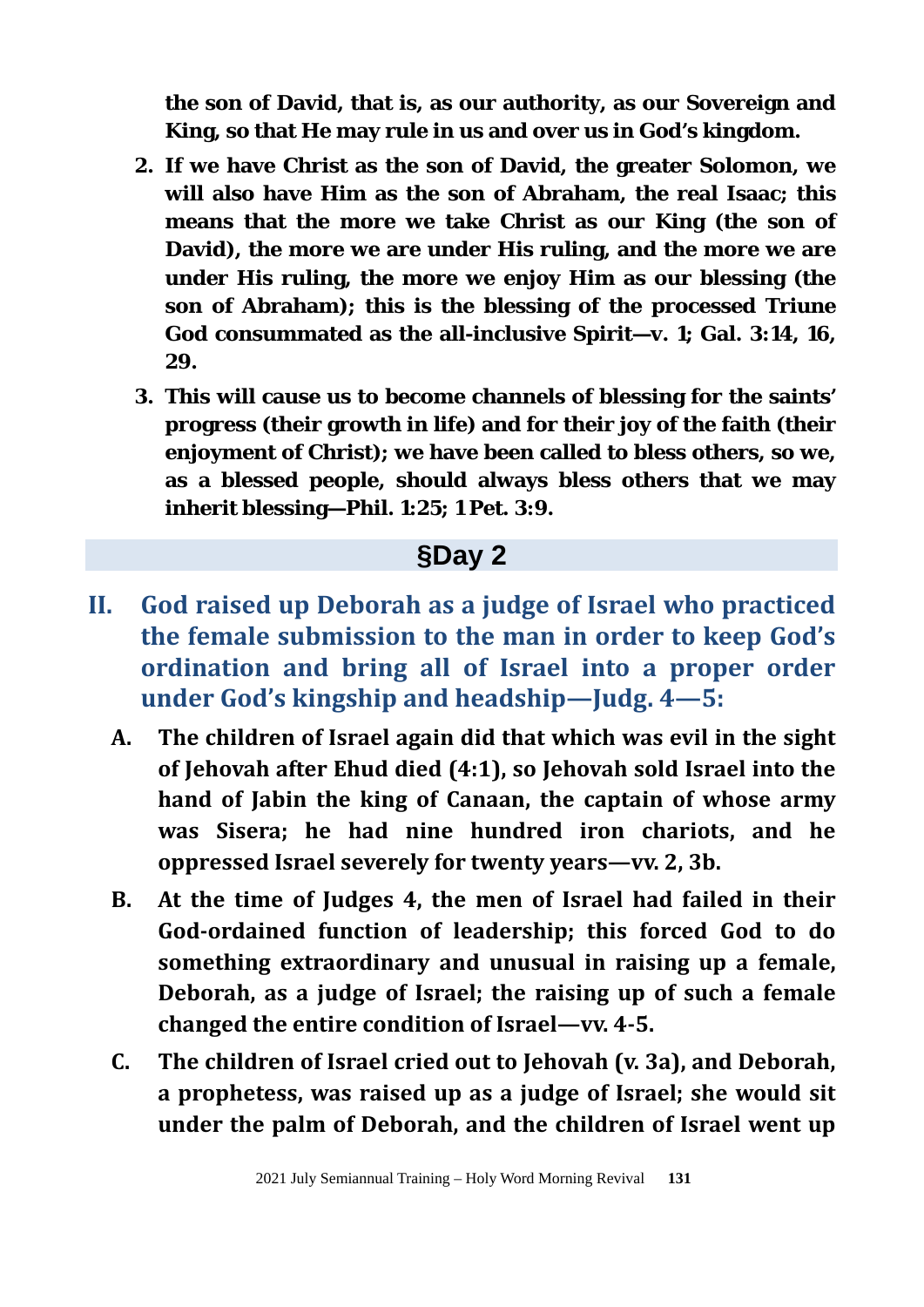**the son of David, that is, as our authority, as our Sovereign and King, so that He may rule in us and over us in God's kingdom.**

- **2. If we have Christ as the son of David, the greater Solomon, we will also have Him as the son of Abraham, the real Isaac; this means that the more we take Christ as our King (the son of David), the more we are under His ruling, and the more we are under His ruling, the more we enjoy Him as our blessing (the son of Abraham); this is the blessing of the processed Triune God consummated as the all-inclusive Spirit—v. 1; Gal. 3:14, 16, 29.**
- **3. This will cause us to become channels of blessing for the saints' progress (their growth in life) and for their joy of the faith (their enjoyment of Christ); we have been called to bless others, so we, as a blessed people, should always bless others that we may inherit blessing—Phil. 1:25; 1 Pet. 3:9.**

- **II. God raised up Deborah as a judge of Israel who practiced the female submission to the man in order to keep God's ordination and bring all of Israel into a proper order under God's kingship and headship—Judg. 4—5:**
	- **A. The children of Israel again did that which was evil in the sight of Jehovah after Ehud died (4:1), so Jehovah sold Israel into the hand of Jabin the king of Canaan, the captain of whose army was Sisera; he had nine hundred iron chariots, and he oppressed Israel severely for twenty years—vv. 2, 3b.**
	- **B. At the time of Judges 4, the men of Israel had failed in their God-ordained function of leadership; this forced God to do something extraordinary and unusual in raising up a female, Deborah, as a judge of Israel; the raising up of such a female changed the entire condition of Israel—vv. 4-5.**
	- **C. The children of Israel cried out to Jehovah (v. 3a), and Deborah, a prophetess, was raised up as a judge of Israel; she would sit under the palm of Deborah, and the children of Israel went up**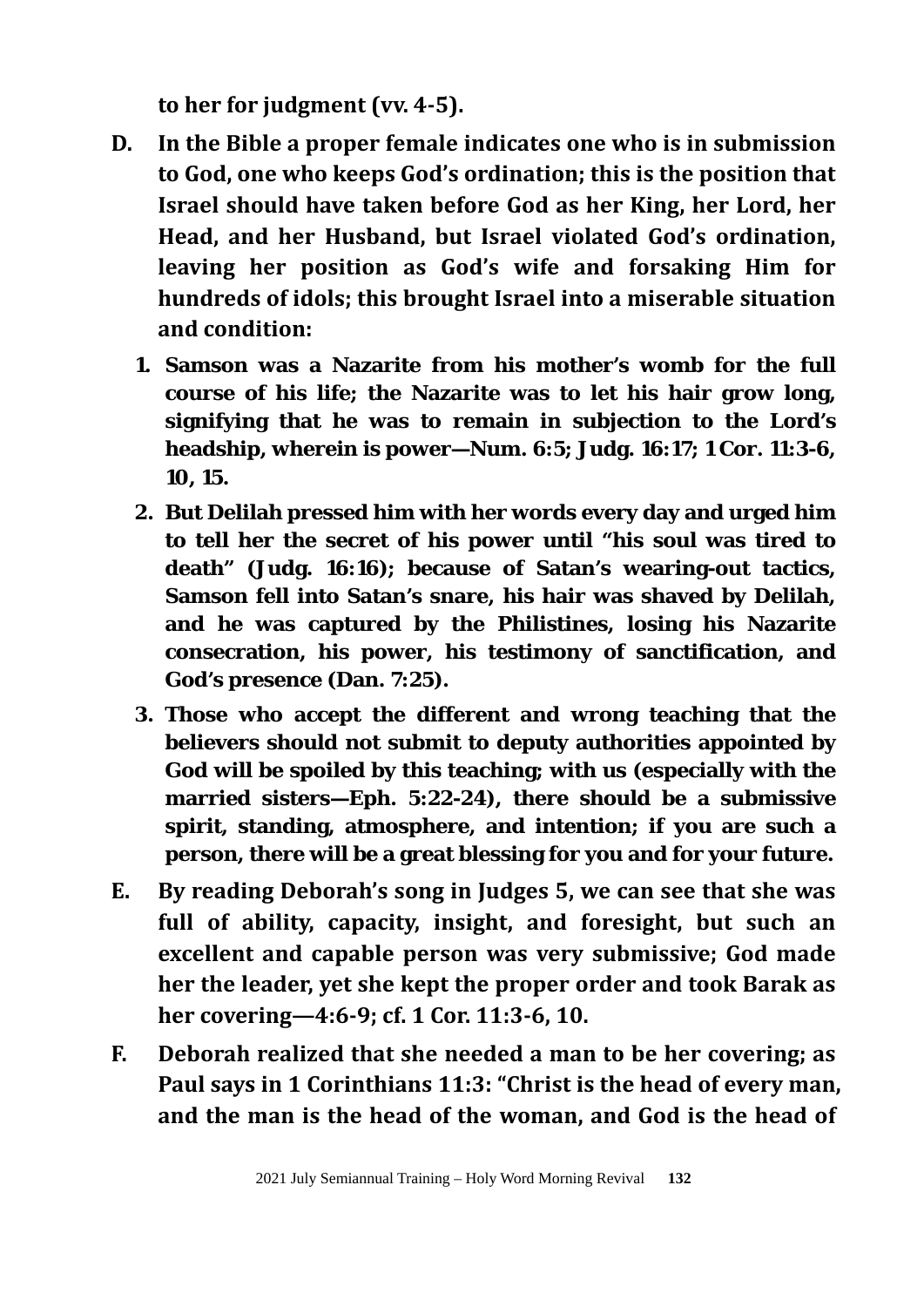**to her for judgment (vv. 4-5).** 

- **D. In the Bible a proper female indicates one who is in submission to God, one who keeps God's ordination; this is the position that Israel should have taken before God as her King, her Lord, her Head, and her Husband, but Israel violated God's ordination, leaving her position as God's wife and forsaking Him for hundreds of idols; this brought Israel into a miserable situation and condition:**
	- **1. Samson was a Nazarite from his mother's womb for the full course of his life; the Nazarite was to let his hair grow long, signifying that he was to remain in subjection to the Lord's headship, wherein is power—Num. 6:5; Judg. 16:17; 1 Cor. 11:3-6, 10, 15.**
	- **2. But Delilah pressed him with her words every day and urged him to tell her the secret of his power until "his soul was tired to death" (Judg. 16:16); because of Satan's wearing-out tactics, Samson fell into Satan's snare, his hair was shaved by Delilah, and he was captured by the Philistines, losing his Nazarite consecration, his power, his testimony of sanctification, and God's presence (Dan. 7:25).**
	- **3. Those who accept the different and wrong teaching that the believers should not submit to deputy authorities appointed by God will be spoiled by this teaching; with us (especially with the married sisters—Eph. 5:22-24), there should be a submissive spirit, standing, atmosphere, and intention; if you are such a person, there will be a great blessing for you and for your future.**
- **E. By reading Deborah's song in Judges 5, we can see that she was full of ability, capacity, insight, and foresight, but such an excellent and capable person was very submissive; God made her the leader, yet she kept the proper order and took Barak as her covering—4:6-9; cf. 1 Cor. 11:3-6, 10.**
- **F. Deborah realized that she needed a man to be her covering; as Paul says in 1 Corinthians 11:3: "Christ is the head of every man, and the man is the head of the woman, and God is the head of**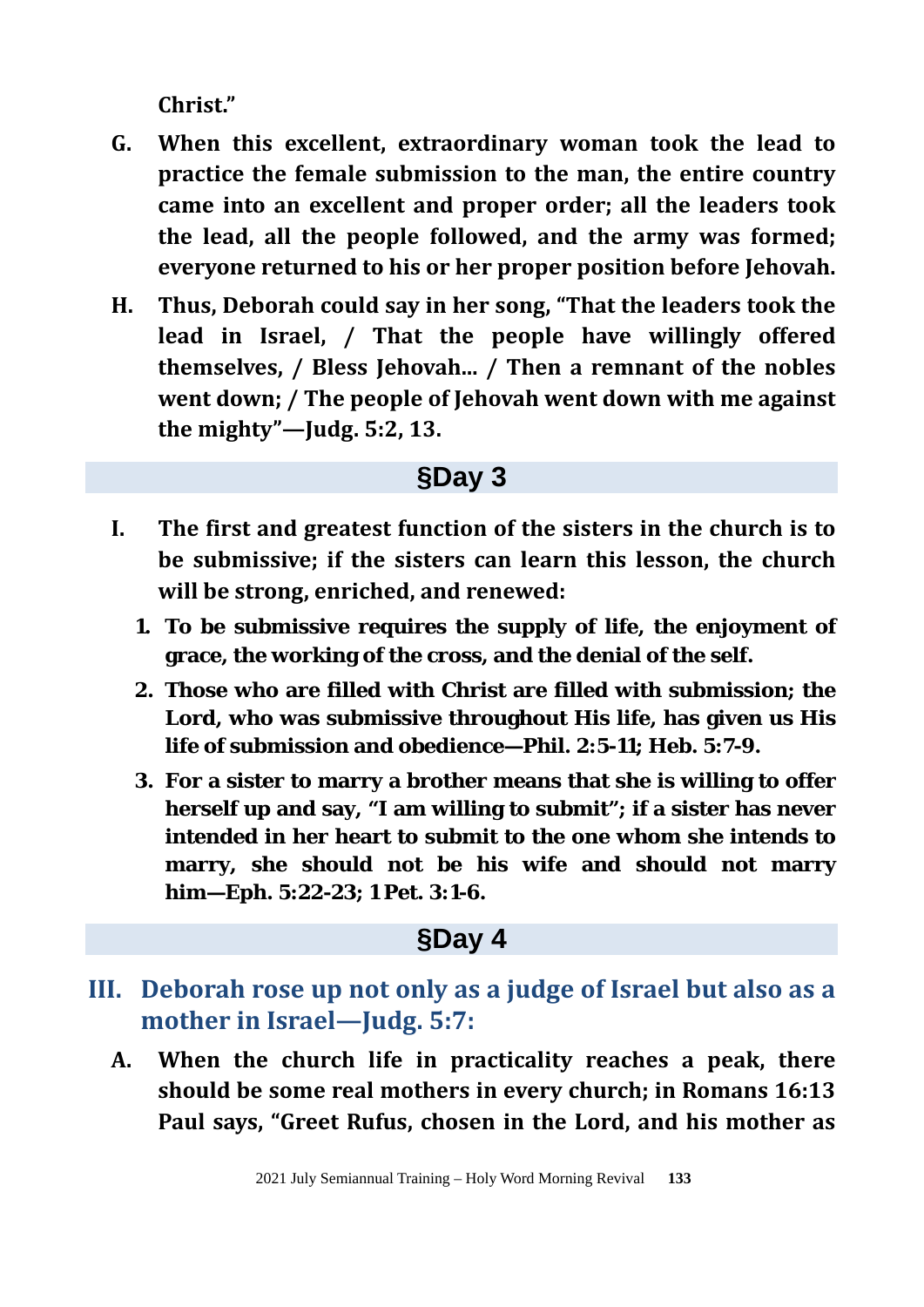**Christ."**

- **G. When this excellent, extraordinary woman took the lead to practice the female submission to the man, the entire country came into an excellent and proper order; all the leaders took the lead, all the people followed, and the army was formed; everyone returned to his or her proper position before Jehovah.**
- **H. Thus, Deborah could say in her song, "That the leaders took the lead in Israel, / That the people have willingly offered themselves, / Bless Jehovah... / Then a remnant of the nobles went down; / The people of Jehovah went down with me against the mighty"—Judg. 5:2, 13.**

### **§Day 3**

- **I. The first and greatest function of the sisters in the church is to be submissive; if the sisters can learn this lesson, the church will be strong, enriched, and renewed:**
	- **1. To be submissive requires the supply of life, the enjoyment of grace, the working of the cross, and the denial of the self.**
	- **2. Those who are filled with Christ are filled with submission; the Lord, who was submissive throughout His life, has given us His life of submission and obedience—Phil. 2:5-11; Heb. 5:7-9.**
	- **3. For a sister to marry a brother means that she is willing to offer herself up and say, "I am willing to submit"; if a sister has never intended in her heart to submit to the one whom she intends to marry, she should not be his wife and should not marry him—Eph. 5:22-23; 1 Pet. 3:1-6.**

- **III. Deborah rose up not only as a judge of Israel but also as a mother in Israel—Judg. 5:7:**
	- **A. When the church life in practicality reaches a peak, there should be some real mothers in every church; in Romans 16:13 Paul says, "Greet Rufus, chosen in the Lord, and his mother as**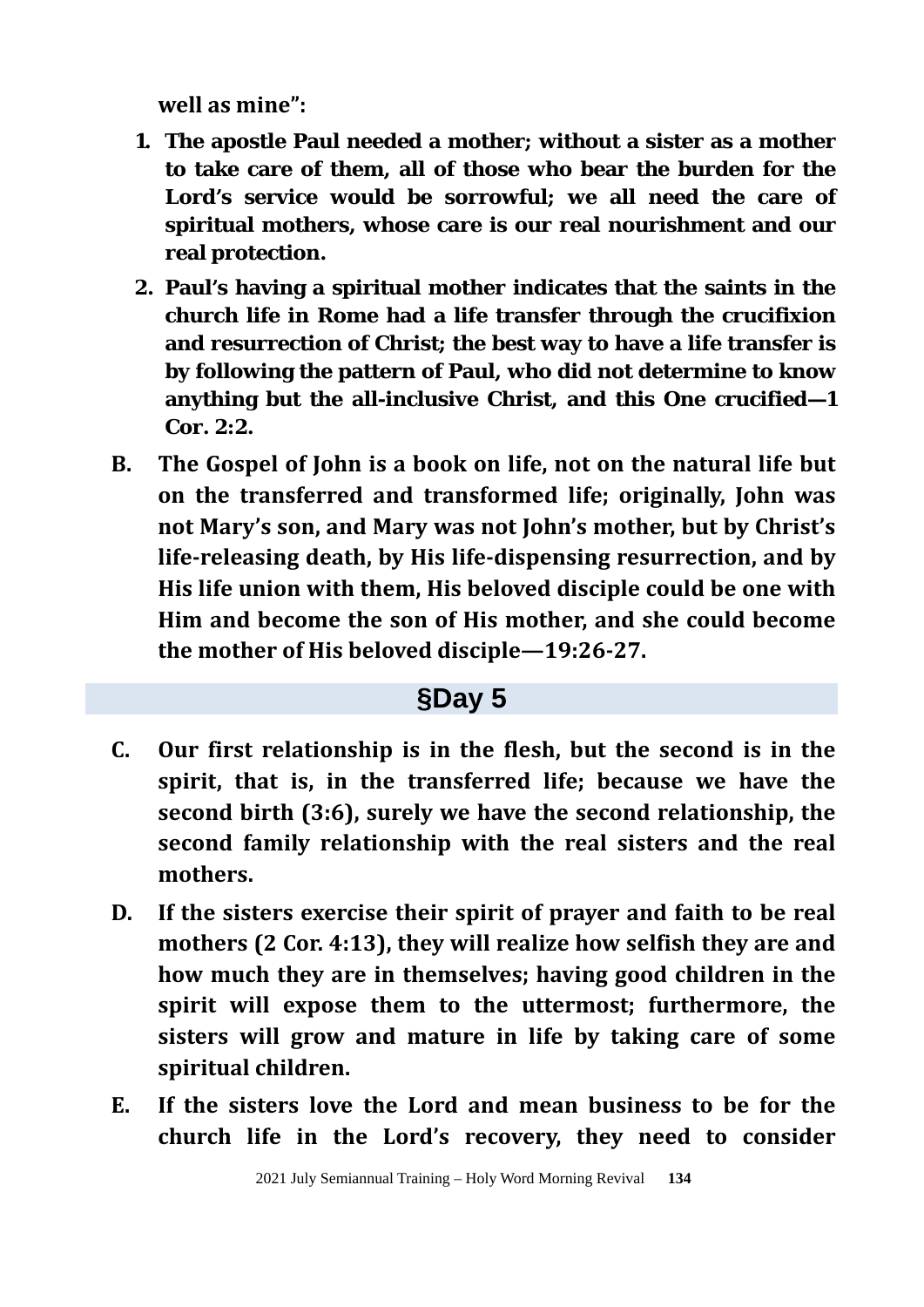**well as mine":**

- **1. The apostle Paul needed a mother; without a sister as a mother to take care of them, all of those who bear the burden for the Lord's service would be sorrowful; we all need the care of spiritual mothers, whose care is our real nourishment and our real protection.**
- **2. Paul's having a spiritual mother indicates that the saints in the church life in Rome had a life transfer through the crucifixion and resurrection of Christ; the best way to have a life transfer is by following the pattern of Paul, who did not determine to know anything but the all-inclusive Christ, and this One crucified—1 Cor. 2:2.**
- **B. The Gospel of John is a book on life, not on the natural life but on the transferred and transformed life; originally, John was not Mary's son, and Mary was not John's mother, but by Christ's life-releasing death, by His life-dispensing resurrection, and by His life union with them, His beloved disciple could be one with Him and become the son of His mother, and she could become the mother of His beloved disciple—19:26-27.**

- **C. Our first relationship is in the flesh, but the second is in the spirit, that is, in the transferred life; because we have the second birth (3:6), surely we have the second relationship, the second family relationship with the real sisters and the real mothers.**
- **D. If the sisters exercise their spirit of prayer and faith to be real mothers (2 Cor. 4:13), they will realize how selfish they are and how much they are in themselves; having good children in the spirit will expose them to the uttermost; furthermore, the sisters will grow and mature in life by taking care of some spiritual children.**
- **E. If the sisters love the Lord and mean business to be for the church life in the Lord's recovery, they need to consider**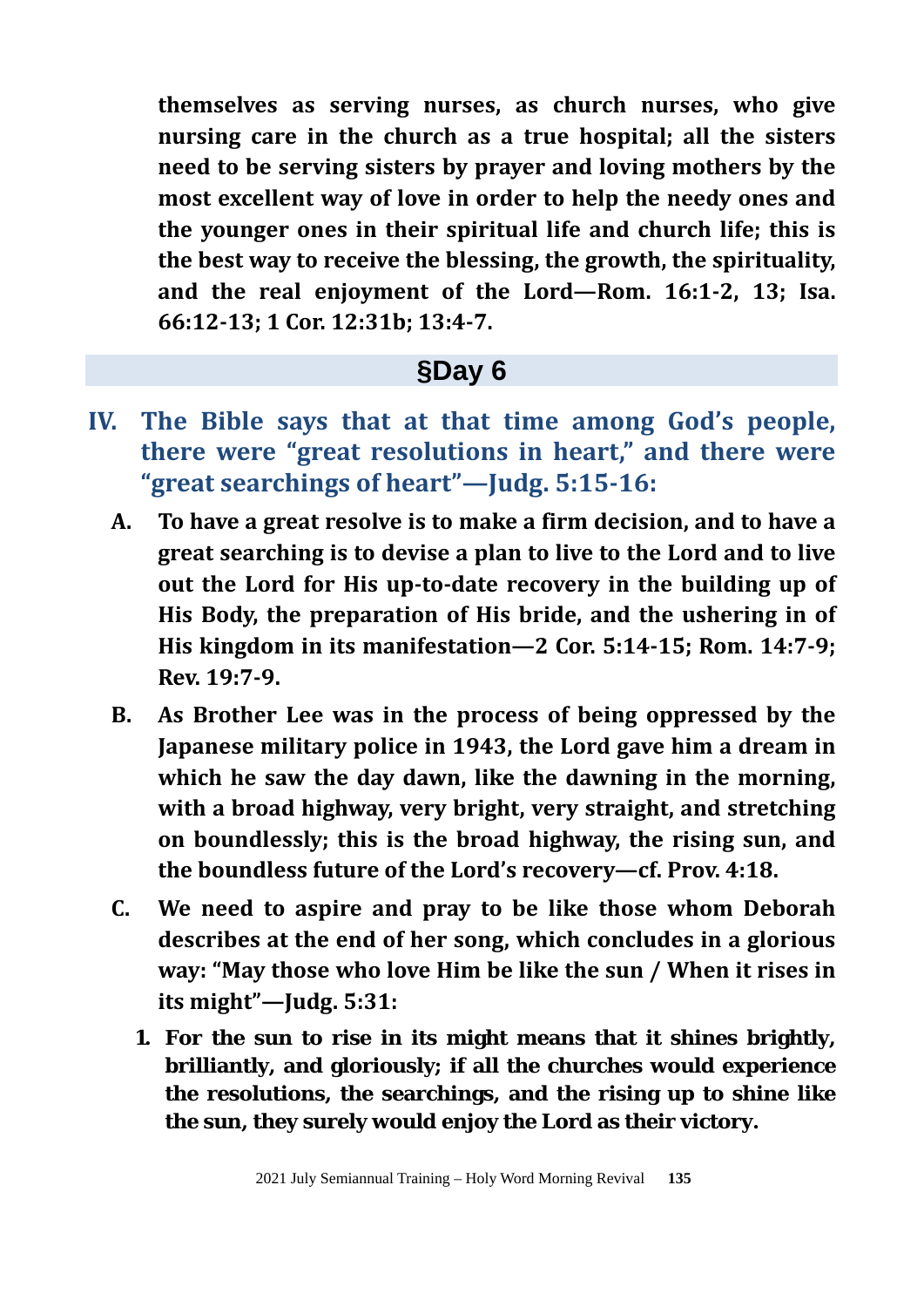**themselves as serving nurses, as church nurses, who give nursing care in the church as a true hospital; all the sisters need to be serving sisters by prayer and loving mothers by the most excellent way of love in order to help the needy ones and the younger ones in their spiritual life and church life; this is the best way to receive the blessing, the growth, the spirituality, and the real enjoyment of the Lord—Rom. 16:1-2, 13; Isa. 66:12-13; 1 Cor. 12:31b; 13:4-7.** 

- **IV. The Bible says that at that time among God's people, there were "great resolutions in heart," and there were "great searchings of heart"—Judg. 5:15-16:**
	- **A. To have a great resolve is to make a firm decision, and to have a great searching is to devise a plan to live to the Lord and to live out the Lord for His up-to-date recovery in the building up of His Body, the preparation of His bride, and the ushering in of His kingdom in its manifestation—2 Cor. 5:14-15; Rom. 14:7-9; Rev. 19:7-9.**
	- **B. As Brother Lee was in the process of being oppressed by the Japanese military police in 1943, the Lord gave him a dream in which he saw the day dawn, like the dawning in the morning, with a broad highway, very bright, very straight, and stretching on boundlessly; this is the broad highway, the rising sun, and the boundless future of the Lord's recovery—cf. Prov. 4:18.**
	- **C. We need to aspire and pray to be like those whom Deborah describes at the end of her song, which concludes in a glorious way: "May those who love Him be like the sun / When it rises in its might"—Judg. 5:31:**
		- **1. For the sun to rise in its might means that it shines brightly, brilliantly, and gloriously; if all the churches would experience the resolutions, the searchings, and the rising up to shine like the sun, they surely would enjoy the Lord as their victory.**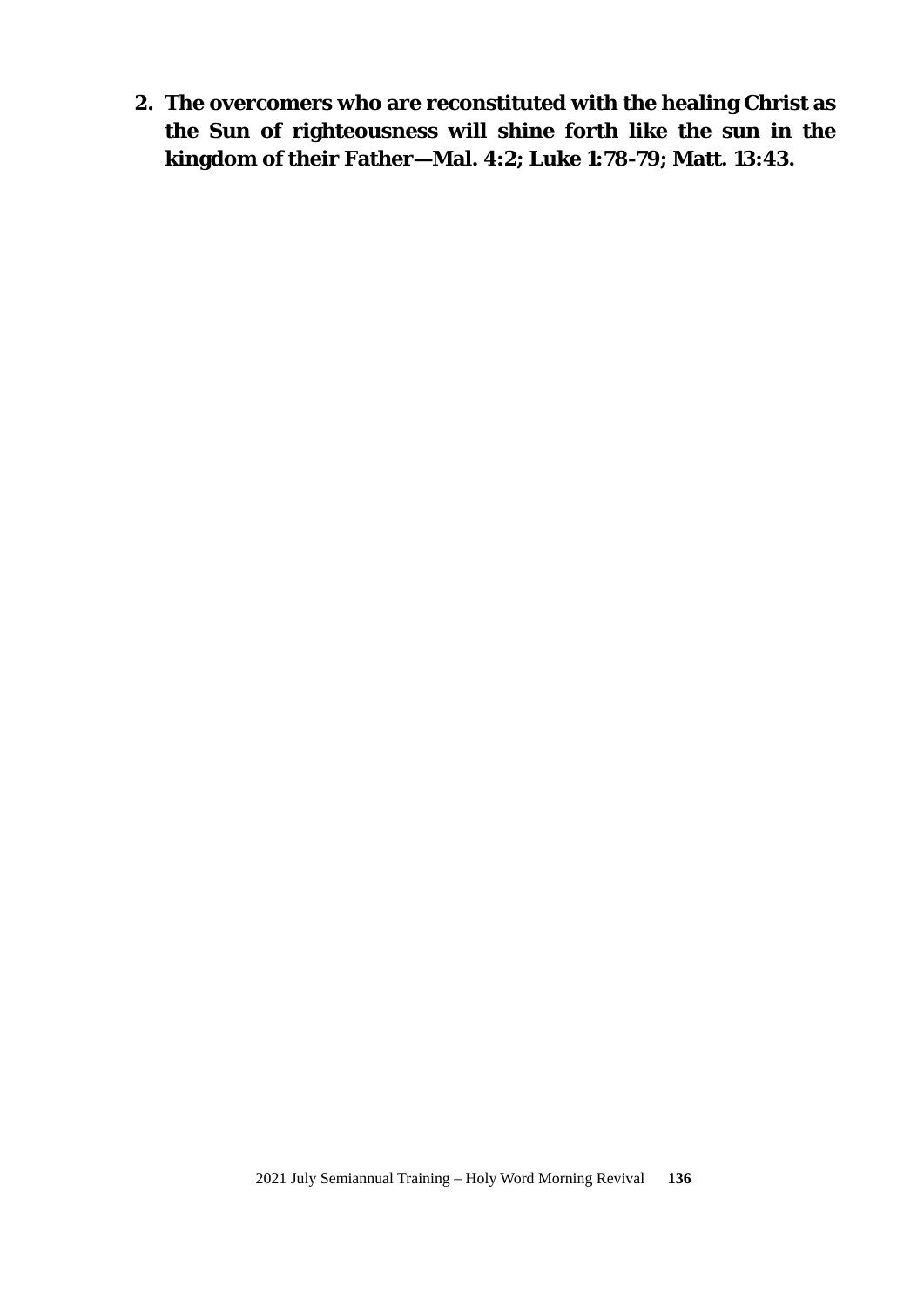**2. The overcomers who are reconstituted with the healing Christ as the Sun of righteousness will shine forth like the sun in the kingdom of their Father—Mal. 4:2; Luke 1:78-79; Matt. 13:43.**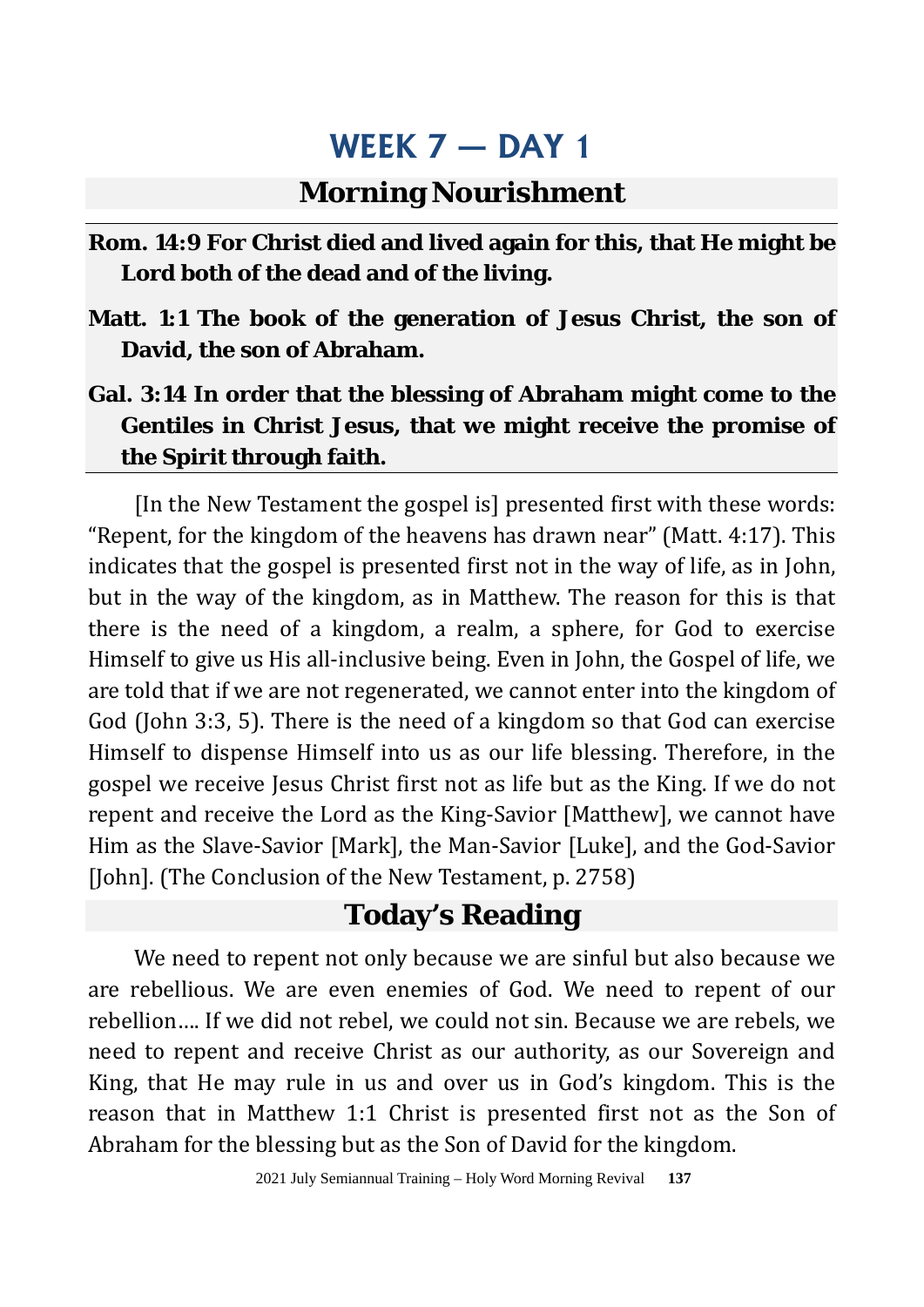### **Morning Nourishment**

- **Rom. 14:9 For Christ died and lived again for this, that He might be Lord both of the dead and of the living.**
- **Matt. 1:1 The book of the generation of Jesus Christ, the son of David, the son of Abraham.**
- **Gal. 3:14 In order that the blessing of Abraham might come to the Gentiles in Christ Jesus, that we might receive the promise of the Spirit through faith.**

[In the New Testament the gospel is] presented first with these words: "Repent, for the kingdom of the heavens has drawn near" (Matt. 4:17). This indicates that the gospel is presented first not in the way of life, as in John, but in the way of the kingdom, as in Matthew. The reason for this is that there is the need of a kingdom, a realm, a sphere, for God to exercise Himself to give us His all-inclusive being. Even in John, the Gospel of life, we are told that if we are not regenerated, we cannot enter into the kingdom of God (John 3:3, 5). There is the need of a kingdom so that God can exercise Himself to dispense Himself into us as our life blessing. Therefore, in the gospel we receive Jesus Christ first not as life but as the King. If we do not repent and receive the Lord as the King-Savior [Matthew], we cannot have Him as the Slave-Savior [Mark], the Man-Savior [Luke], and the God-Savior [John]. (The Conclusion of the New Testament, p. 2758)

## **Today's Reading**

We need to repent not only because we are sinful but also because we are rebellious. We are even enemies of God. We need to repent of our rebellion…. If we did not rebel, we could not sin. Because we are rebels, we need to repent and receive Christ as our authority, as our Sovereign and King, that He may rule in us and over us in God's kingdom. This is the reason that in Matthew 1:1 Christ is presented first not as the Son of Abraham for the blessing but as the Son of David for the kingdom.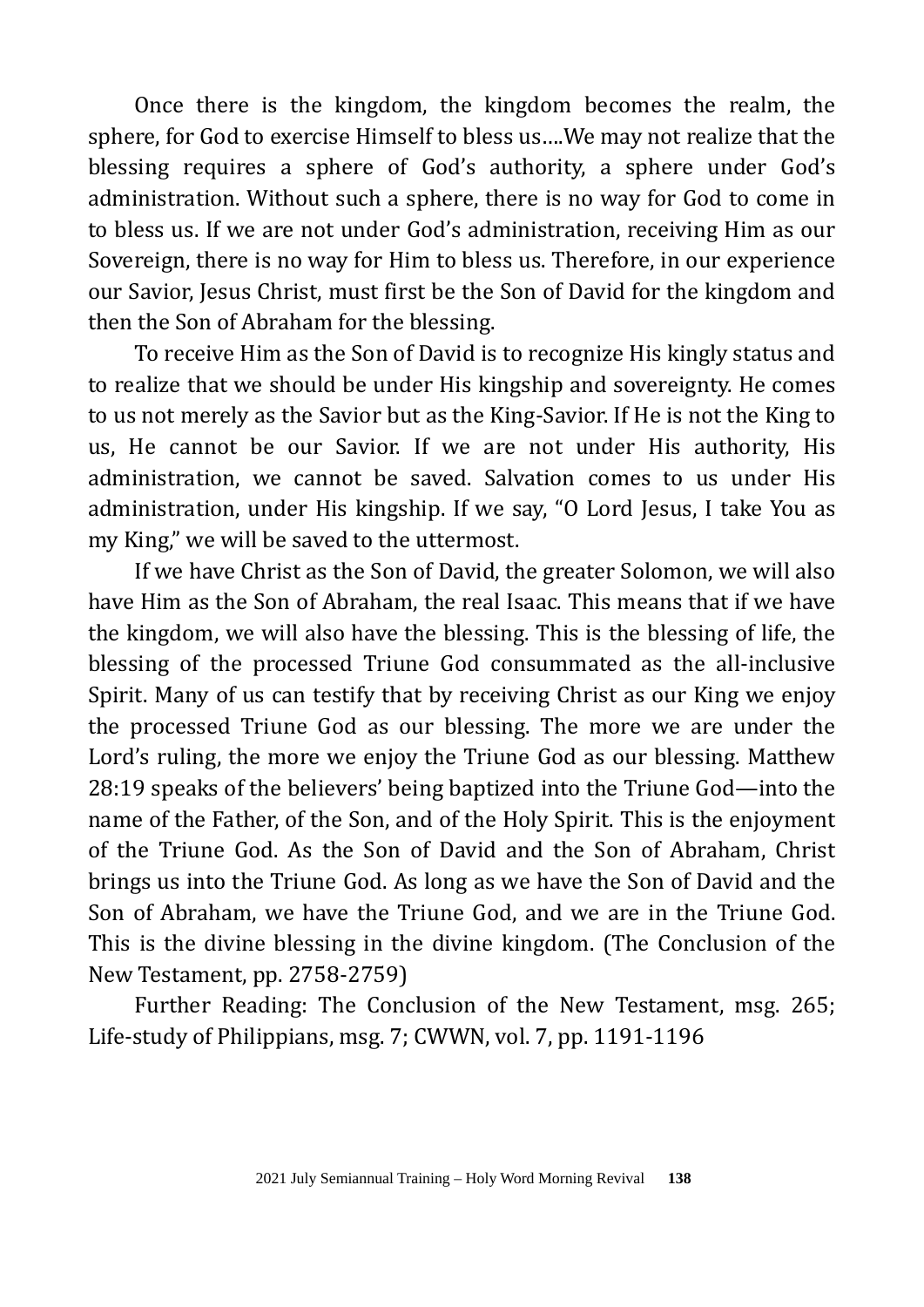Once there is the kingdom, the kingdom becomes the realm, the sphere, for God to exercise Himself to bless us….We may not realize that the blessing requires a sphere of God's authority, a sphere under God's administration. Without such a sphere, there is no way for God to come in to bless us. If we are not under God's administration, receiving Him as our Sovereign, there is no way for Him to bless us. Therefore, in our experience our Savior, Jesus Christ, must first be the Son of David for the kingdom and then the Son of Abraham for the blessing.

To receive Him as the Son of David is to recognize His kingly status and to realize that we should be under His kingship and sovereignty. He comes to us not merely as the Savior but as the King-Savior. If He is not the King to us, He cannot be our Savior. If we are not under His authority, His administration, we cannot be saved. Salvation comes to us under His administration, under His kingship. If we say, "O Lord Jesus, I take You as my King," we will be saved to the uttermost.

If we have Christ as the Son of David, the greater Solomon, we will also have Him as the Son of Abraham, the real Isaac. This means that if we have the kingdom, we will also have the blessing. This is the blessing of life, the blessing of the processed Triune God consummated as the all-inclusive Spirit. Many of us can testify that by receiving Christ as our King we enjoy the processed Triune God as our blessing. The more we are under the Lord's ruling, the more we enjoy the Triune God as our blessing. Matthew 28:19 speaks of the believers' being baptized into the Triune God—into the name of the Father, of the Son, and of the Holy Spirit. This is the enjoyment of the Triune God. As the Son of David and the Son of Abraham, Christ brings us into the Triune God. As long as we have the Son of David and the Son of Abraham, we have the Triune God, and we are in the Triune God. This is the divine blessing in the divine kingdom. (The Conclusion of the New Testament, pp. 2758-2759)

Further Reading: The Conclusion of the New Testament, msg. 265; Life-study of Philippians, msg. 7; CWWN, vol. 7, pp. 1191-1196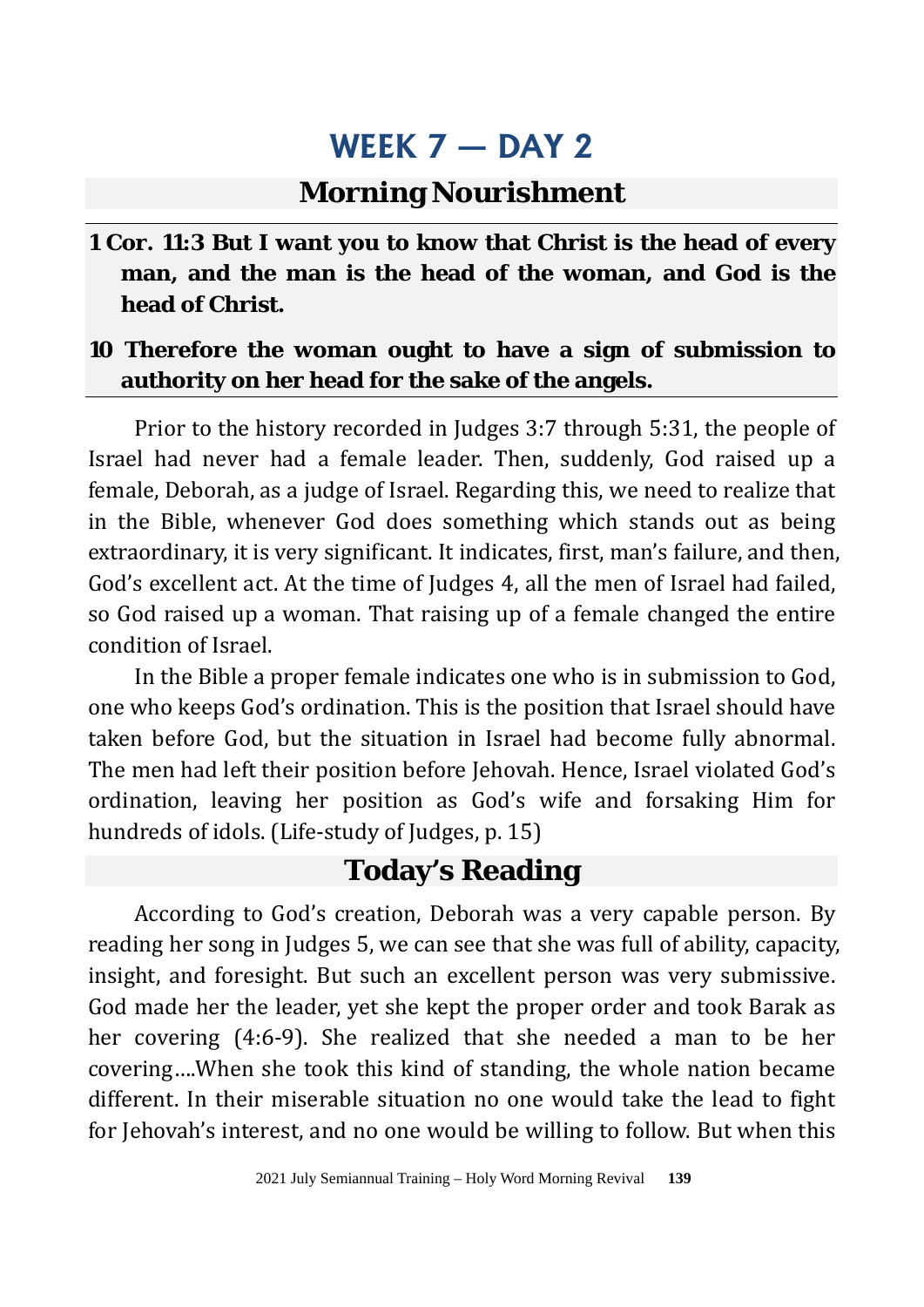### **Morning Nourishment**

**1 Cor. 11:3 But I want you to know that Christ is the head of every man, and the man is the head of the woman, and God is the head of Christ.**

#### **10 Therefore the woman ought to have a sign of submission to authority on her head for the sake of the angels.**

Prior to the history recorded in Judges 3:7 through 5:31, the people of Israel had never had a female leader. Then, suddenly, God raised up a female, Deborah, as a judge of Israel. Regarding this, we need to realize that in the Bible, whenever God does something which stands out as being extraordinary, it is very significant. It indicates, first, man's failure, and then, God's excellent act. At the time of Judges 4, all the men of Israel had failed, so God raised up a woman. That raising up of a female changed the entire condition of Israel.

In the Bible a proper female indicates one who is in submission to God, one who keeps God's ordination. This is the position that Israel should have taken before God, but the situation in Israel had become fully abnormal. The men had left their position before Jehovah. Hence, Israel violated God's ordination, leaving her position as God's wife and forsaking Him for hundreds of idols. (Life-study of Judges, p. 15)

## **Today's Reading**

According to God's creation, Deborah was a very capable person. By reading her song in Judges 5, we can see that she was full of ability, capacity, insight, and foresight. But such an excellent person was very submissive. God made her the leader, yet she kept the proper order and took Barak as her covering (4:6-9). She realized that she needed a man to be her covering….When she took this kind of standing, the whole nation became different. In their miserable situation no one would take the lead to fight for Jehovah's interest, and no one would be willing to follow. But when this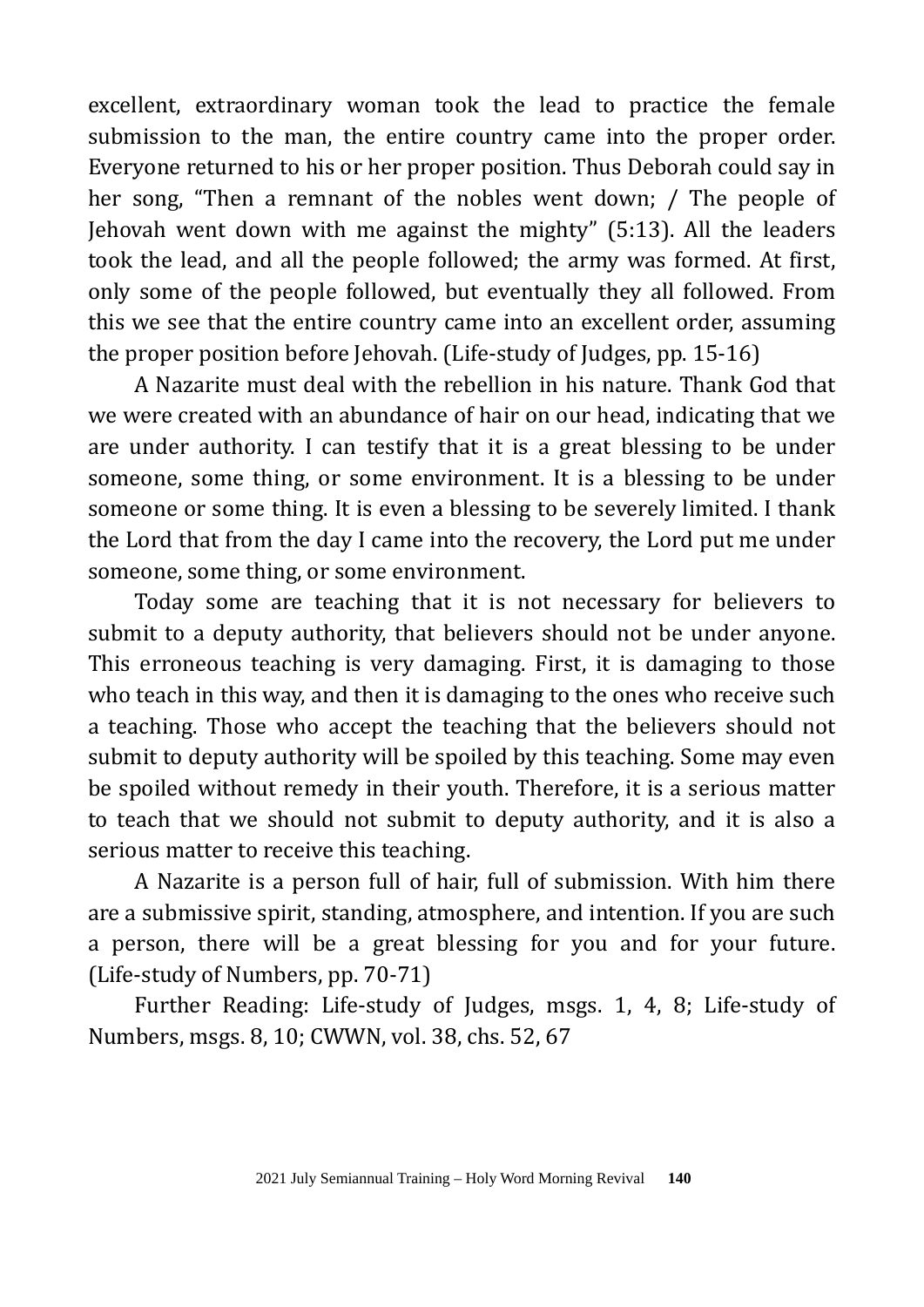excellent, extraordinary woman took the lead to practice the female submission to the man, the entire country came into the proper order. Everyone returned to his or her proper position. Thus Deborah could say in her song, "Then a remnant of the nobles went down; / The people of Jehovah went down with me against the mighty" (5:13). All the leaders took the lead, and all the people followed; the army was formed. At first, only some of the people followed, but eventually they all followed. From this we see that the entire country came into an excellent order, assuming the proper position before Jehovah. (Life-study of Judges, pp. 15-16)

A Nazarite must deal with the rebellion in his nature. Thank God that we were created with an abundance of hair on our head, indicating that we are under authority. I can testify that it is a great blessing to be under someone, some thing, or some environment. It is a blessing to be under someone or some thing. It is even a blessing to be severely limited. I thank the Lord that from the day I came into the recovery, the Lord put me under someone, some thing, or some environment.

Today some are teaching that it is not necessary for believers to submit to a deputy authority, that believers should not be under anyone. This erroneous teaching is very damaging. First, it is damaging to those who teach in this way, and then it is damaging to the ones who receive such a teaching. Those who accept the teaching that the believers should not submit to deputy authority will be spoiled by this teaching. Some may even be spoiled without remedy in their youth. Therefore, it is a serious matter to teach that we should not submit to deputy authority, and it is also a serious matter to receive this teaching.

A Nazarite is a person full of hair, full of submission. With him there are a submissive spirit, standing, atmosphere, and intention. If you are such a person, there will be a great blessing for you and for your future. (Life-study of Numbers, pp. 70-71)

Further Reading: Life-study of Judges, msgs. 1, 4, 8; Life-study of Numbers, msgs. 8, 10; CWWN, vol. 38, chs. 52, 67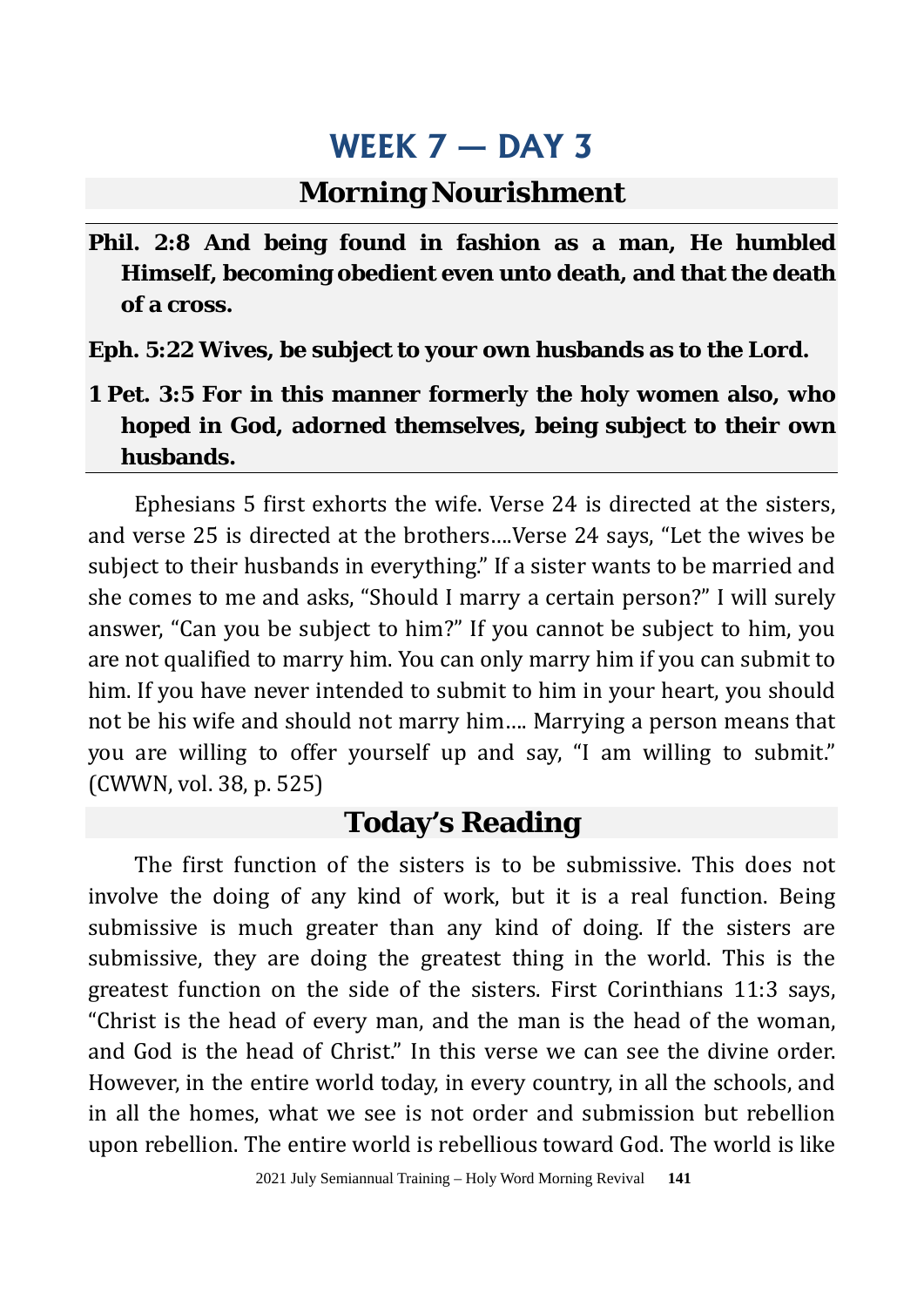#### **Morning Nourishment**

**Phil. 2:8 And being found in fashion as a man, He humbled Himself, becoming obedient even unto death, and that the death of a cross.**

**Eph. 5:22 Wives, be subject to your own husbands as to the Lord.**

**1 Pet. 3:5 For in this manner formerly the holy women also, who hoped in God, adorned themselves, being subject to their own husbands.**

Ephesians 5 first exhorts the wife. Verse 24 is directed at the sisters, and verse 25 is directed at the brothers….Verse 24 says, "Let the wives be subject to their husbands in everything." If a sister wants to be married and she comes to me and asks, "Should I marry a certain person?" I will surely answer, "Can you be subject to him?" If you cannot be subject to him, you are not qualified to marry him. You can only marry him if you can submit to him. If you have never intended to submit to him in your heart, you should not be his wife and should not marry him…. Marrying a person means that you are willing to offer yourself up and say, "I am willing to submit." (CWWN, vol. 38, p. 525)

#### **Today's Reading**

The first function of the sisters is to be submissive. This does not involve the doing of any kind of work, but it is a real function. Being submissive is much greater than any kind of doing. If the sisters are submissive, they are doing the greatest thing in the world. This is the greatest function on the side of the sisters. First Corinthians 11:3 says, "Christ is the head of every man, and the man is the head of the woman, and God is the head of Christ." In this verse we can see the divine order. However, in the entire world today, in every country, in all the schools, and in all the homes, what we see is not order and submission but rebellion upon rebellion. The entire world is rebellious toward God. The world is like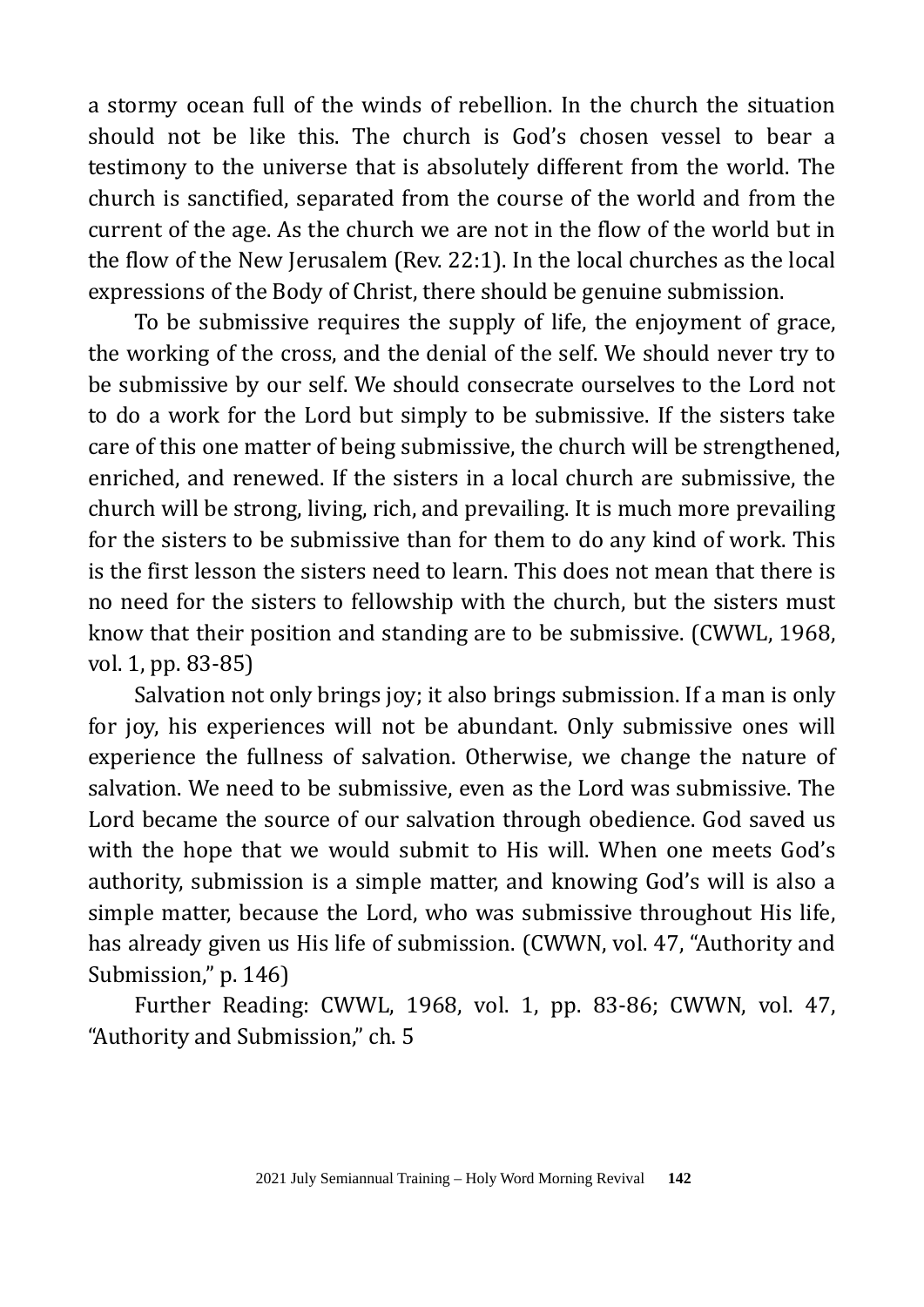a stormy ocean full of the winds of rebellion. In the church the situation should not be like this. The church is God's chosen vessel to bear a testimony to the universe that is absolutely different from the world. The church is sanctified, separated from the course of the world and from the current of the age. As the church we are not in the flow of the world but in the flow of the New Jerusalem (Rev. 22:1). In the local churches as the local expressions of the Body of Christ, there should be genuine submission.

To be submissive requires the supply of life, the enjoyment of grace, the working of the cross, and the denial of the self. We should never try to be submissive by our self. We should consecrate ourselves to the Lord not to do a work for the Lord but simply to be submissive. If the sisters take care of this one matter of being submissive, the church will be strengthened, enriched, and renewed. If the sisters in a local church are submissive, the church will be strong, living, rich, and prevailing. It is much more prevailing for the sisters to be submissive than for them to do any kind of work. This is the first lesson the sisters need to learn. This does not mean that there is no need for the sisters to fellowship with the church, but the sisters must know that their position and standing are to be submissive. (CWWL, 1968, vol. 1, pp. 83-85)

Salvation not only brings joy; it also brings submission. If a man is only for joy, his experiences will not be abundant. Only submissive ones will experience the fullness of salvation. Otherwise, we change the nature of salvation. We need to be submissive, even as the Lord was submissive. The Lord became the source of our salvation through obedience. God saved us with the hope that we would submit to His will. When one meets God's authority, submission is a simple matter, and knowing God's will is also a simple matter, because the Lord, who was submissive throughout His life, has already given us His life of submission. (CWWN, vol. 47, "Authority and Submission," p. 146)

Further Reading: CWWL, 1968, vol. 1, pp. 83-86; CWWN, vol. 47, "Authority and Submission," ch. 5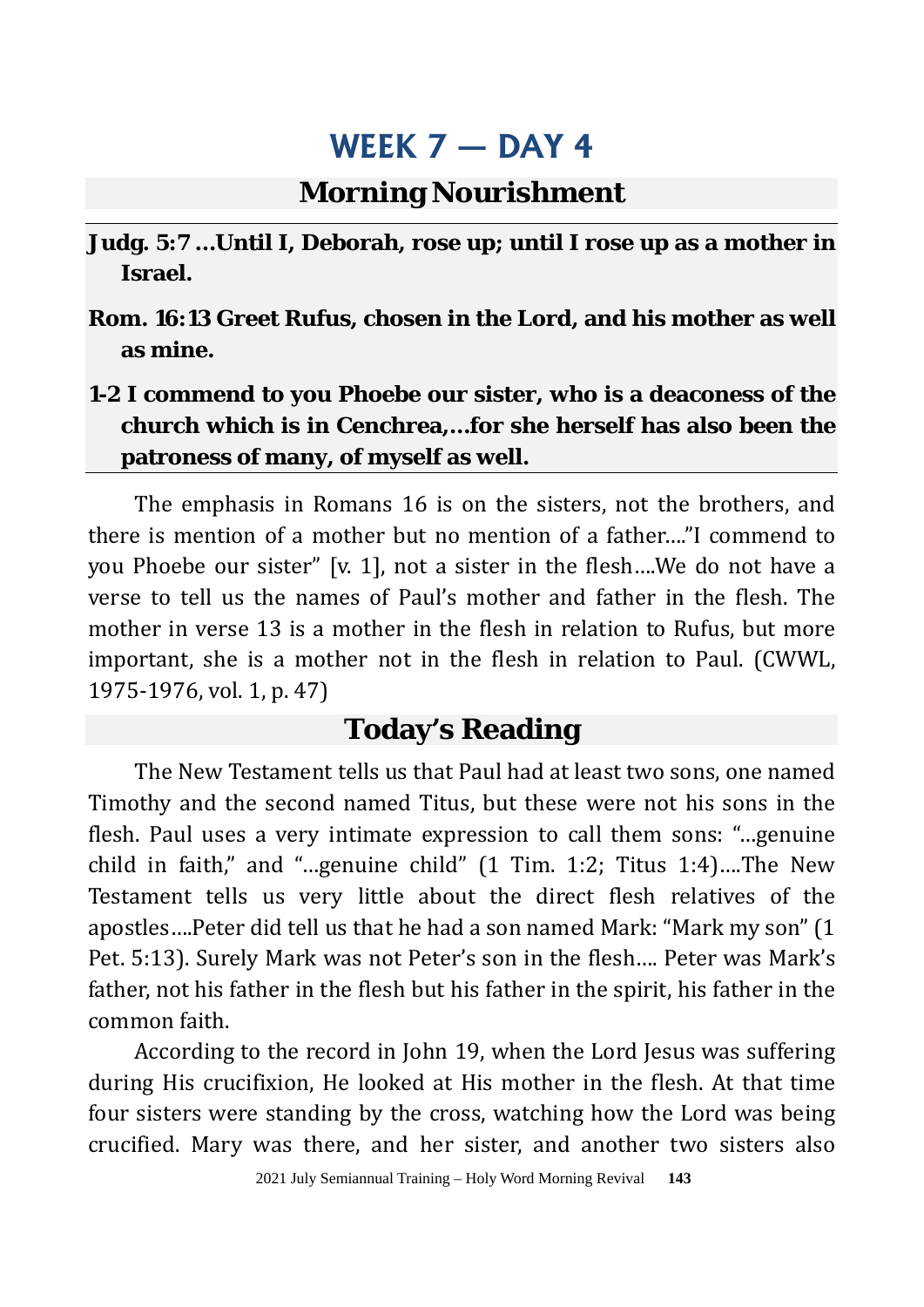### **Morning Nourishment**

- **Judg. 5:7 …Until I, Deborah, rose up; until I rose up as a mother in Israel.**
- **Rom. 16:13 Greet Rufus, chosen in the Lord, and his mother as well as mine.**
- **1-2 I commend to you Phoebe our sister, who is a deaconess of the church which is in Cenchrea,…for she herself has also been the patroness of many, of myself as well.**

The emphasis in Romans 16 is on the sisters, not the brothers, and there is mention of a mother but no mention of a father…."I commend to you Phoebe our sister" [v. 1], not a sister in the flesh….We do not have a verse to tell us the names of Paul's mother and father in the flesh. The mother in verse 13 is a mother in the flesh in relation to Rufus, but more important, she is a mother not in the flesh in relation to Paul. (CWWL, 1975-1976, vol. 1, p. 47)

### **Today's Reading**

The New Testament tells us that Paul had at least two sons, one named Timothy and the second named Titus, but these were not his sons in the flesh. Paul uses a very intimate expression to call them sons: "…genuine child in faith," and "…genuine child" (1 Tim. 1:2; Titus 1:4)….The New Testament tells us very little about the direct flesh relatives of the apostles….Peter did tell us that he had a son named Mark: "Mark my son" (1 Pet. 5:13). Surely Mark was not Peter's son in the flesh…. Peter was Mark's father, not his father in the flesh but his father in the spirit, his father in the common faith.

According to the record in John 19, when the Lord Jesus was suffering during His crucifixion, He looked at His mother in the flesh. At that time four sisters were standing by the cross, watching how the Lord was being crucified. Mary was there, and her sister, and another two sisters also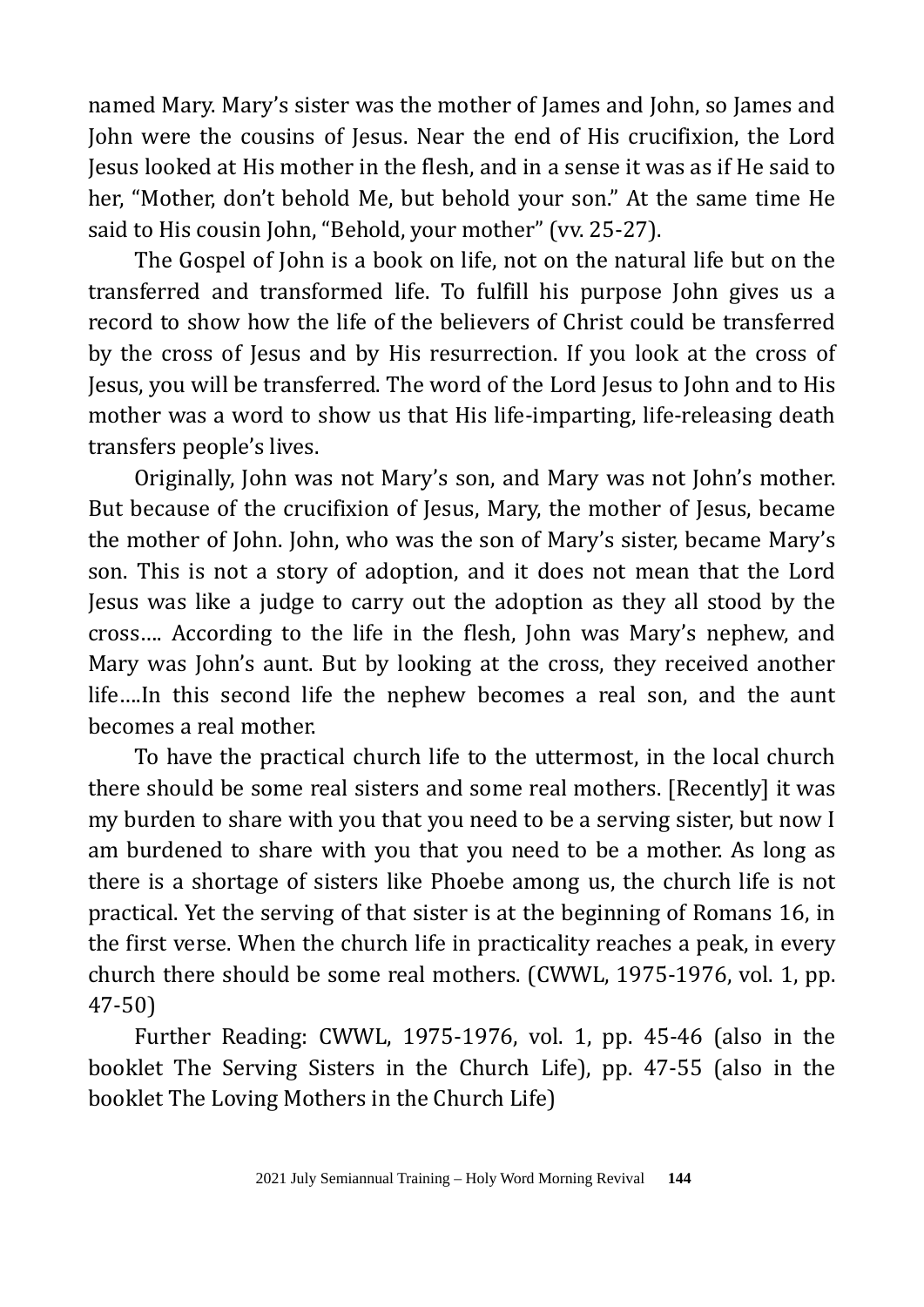named Mary. Mary's sister was the mother of James and John, so James and John were the cousins of Jesus. Near the end of His crucifixion, the Lord Jesus looked at His mother in the flesh, and in a sense it was as if He said to her, "Mother, don't behold Me, but behold your son." At the same time He said to His cousin John, "Behold, your mother" (vv. 25-27).

The Gospel of John is a book on life, not on the natural life but on the transferred and transformed life. To fulfill his purpose John gives us a record to show how the life of the believers of Christ could be transferred by the cross of Jesus and by His resurrection. If you look at the cross of Jesus, you will be transferred. The word of the Lord Jesus to John and to His mother was a word to show us that His life-imparting, life-releasing death transfers people's lives.

Originally, John was not Mary's son, and Mary was not John's mother. But because of the crucifixion of Jesus, Mary, the mother of Jesus, became the mother of John. John, who was the son of Mary's sister, became Mary's son. This is not a story of adoption, and it does not mean that the Lord Jesus was like a judge to carry out the adoption as they all stood by the cross…. According to the life in the flesh, John was Mary's nephew, and Mary was John's aunt. But by looking at the cross, they received another life….In this second life the nephew becomes a real son, and the aunt becomes a real mother.

To have the practical church life to the uttermost, in the local church there should be some real sisters and some real mothers. [Recently] it was my burden to share with you that you need to be a serving sister, but now I am burdened to share with you that you need to be a mother. As long as there is a shortage of sisters like Phoebe among us, the church life is not practical. Yet the serving of that sister is at the beginning of Romans 16, in the first verse. When the church life in practicality reaches a peak, in every church there should be some real mothers. (CWWL, 1975-1976, vol. 1, pp. 47-50)

Further Reading: CWWL, 1975-1976, vol. 1, pp. 45-46 (also in the booklet The Serving Sisters in the Church Life), pp. 47-55 (also in the booklet The Loving Mothers in the Church Life)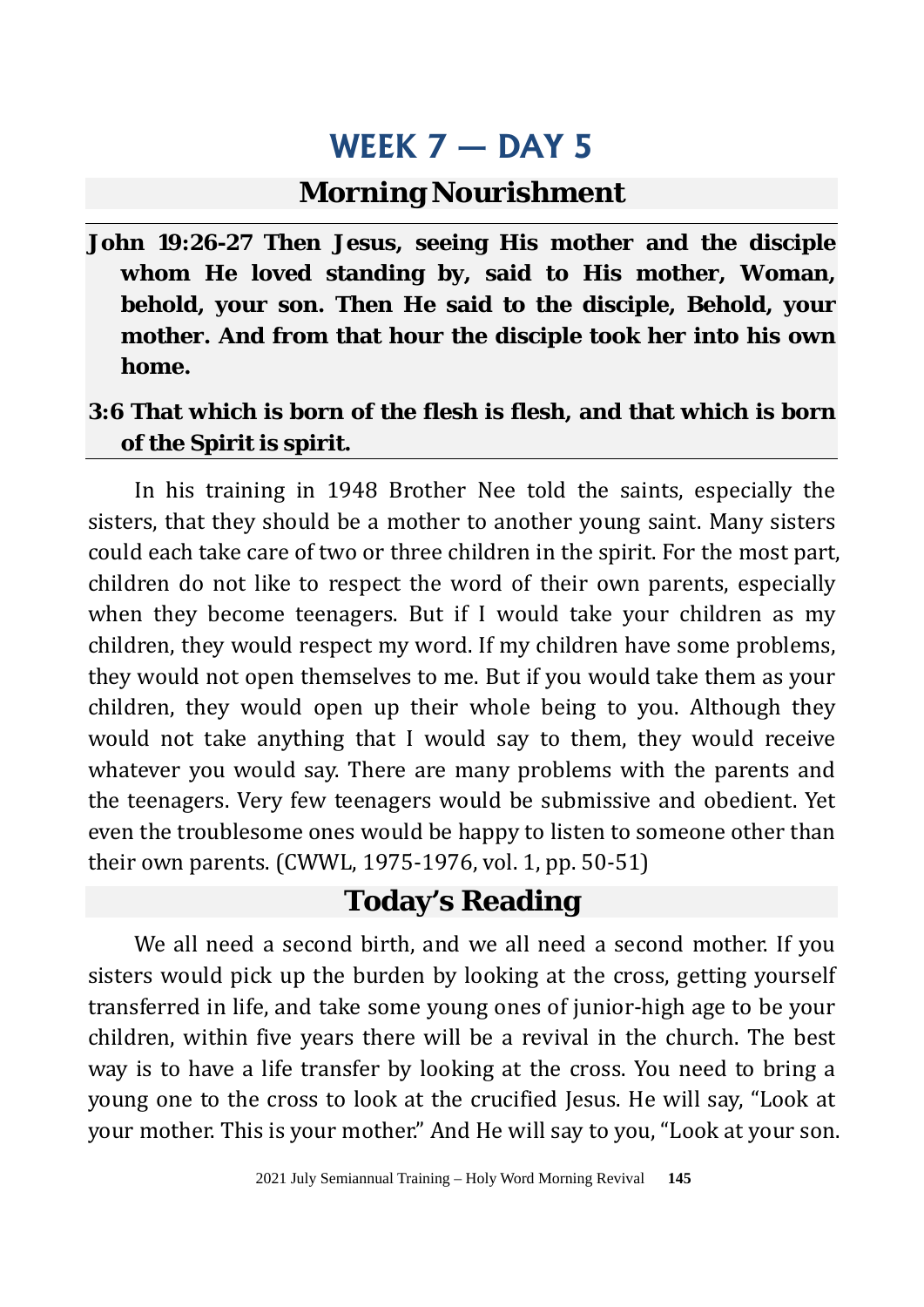### **Morning Nourishment**

**John 19:26-27 Then Jesus, seeing His mother and the disciple whom He loved standing by, said to His mother, Woman, behold, your son. Then He said to the disciple, Behold, your mother. And from that hour the disciple took her into his own home.**

#### **3:6 That which is born of the flesh is flesh, and that which is born of the Spirit is spirit.**

In his training in 1948 Brother Nee told the saints, especially the sisters, that they should be a mother to another young saint. Many sisters could each take care of two or three children in the spirit. For the most part, children do not like to respect the word of their own parents, especially when they become teenagers. But if I would take your children as my children, they would respect my word. If my children have some problems, they would not open themselves to me. But if you would take them as your children, they would open up their whole being to you. Although they would not take anything that I would say to them, they would receive whatever you would say. There are many problems with the parents and the teenagers. Very few teenagers would be submissive and obedient. Yet even the troublesome ones would be happy to listen to someone other than their own parents. (CWWL, 1975-1976, vol. 1, pp. 50-51)

## **Today's Reading**

We all need a second birth, and we all need a second mother. If you sisters would pick up the burden by looking at the cross, getting yourself transferred in life, and take some young ones of junior-high age to be your children, within five years there will be a revival in the church. The best way is to have a life transfer by looking at the cross. You need to bring a young one to the cross to look at the crucified Jesus. He will say, "Look at your mother. This is your mother." And He will say to you, "Look at your son.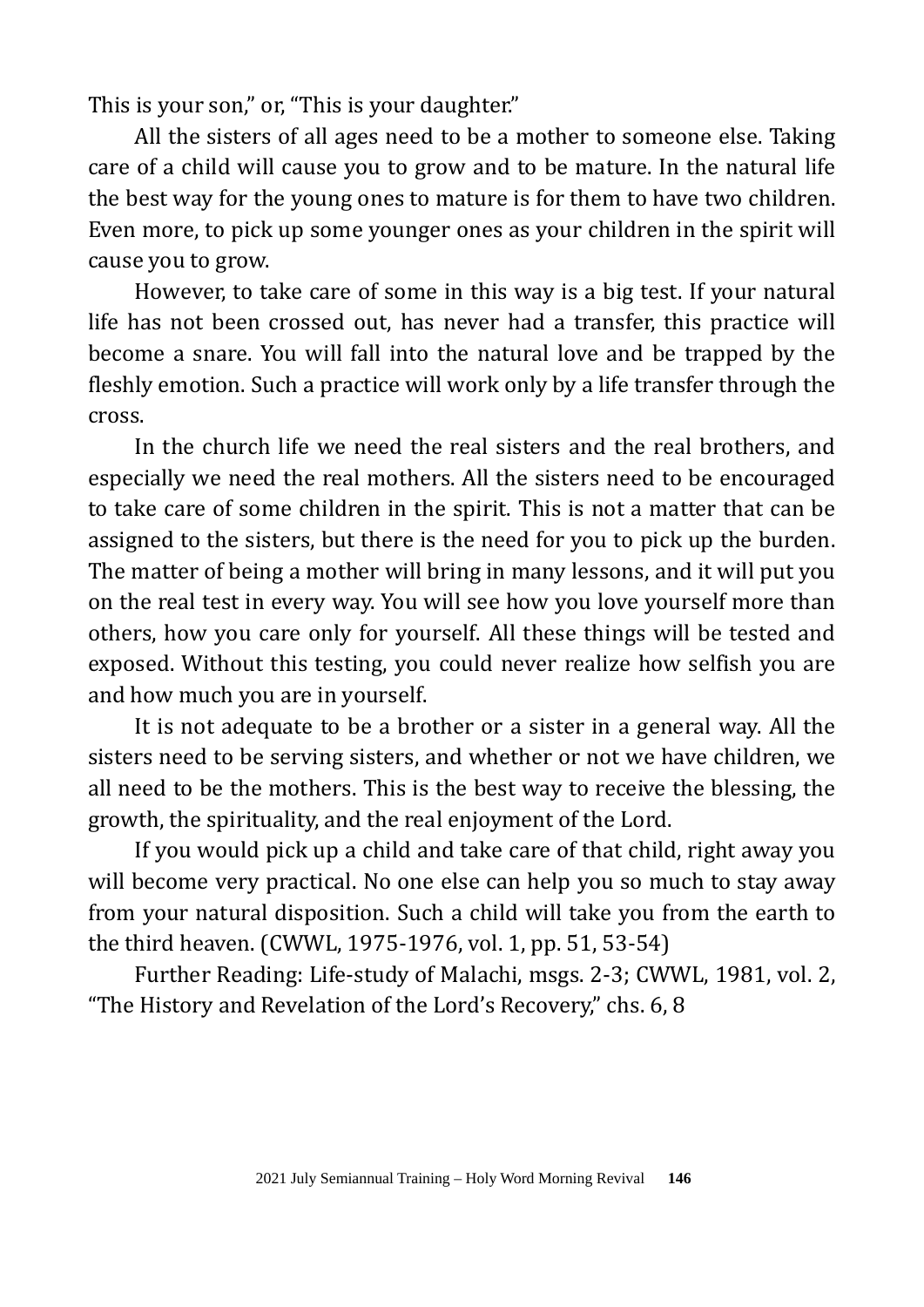This is your son," or, "This is your daughter."

All the sisters of all ages need to be a mother to someone else. Taking care of a child will cause you to grow and to be mature. In the natural life the best way for the young ones to mature is for them to have two children. Even more, to pick up some younger ones as your children in the spirit will cause you to grow.

However, to take care of some in this way is a big test. If your natural life has not been crossed out, has never had a transfer, this practice will become a snare. You will fall into the natural love and be trapped by the fleshly emotion. Such a practice will work only by a life transfer through the cross.

In the church life we need the real sisters and the real brothers, and especially we need the real mothers. All the sisters need to be encouraged to take care of some children in the spirit. This is not a matter that can be assigned to the sisters, but there is the need for you to pick up the burden. The matter of being a mother will bring in many lessons, and it will put you on the real test in every way. You will see how you love yourself more than others, how you care only for yourself. All these things will be tested and exposed. Without this testing, you could never realize how selfish you are and how much you are in yourself.

It is not adequate to be a brother or a sister in a general way. All the sisters need to be serving sisters, and whether or not we have children, we all need to be the mothers. This is the best way to receive the blessing, the growth, the spirituality, and the real enjoyment of the Lord.

If you would pick up a child and take care of that child, right away you will become very practical. No one else can help you so much to stay away from your natural disposition. Such a child will take you from the earth to the third heaven. (CWWL, 1975-1976, vol. 1, pp. 51, 53-54)

Further Reading: Life-study of Malachi, msgs. 2-3; CWWL, 1981, vol. 2, "The History and Revelation of the Lord's Recovery," chs. 6, 8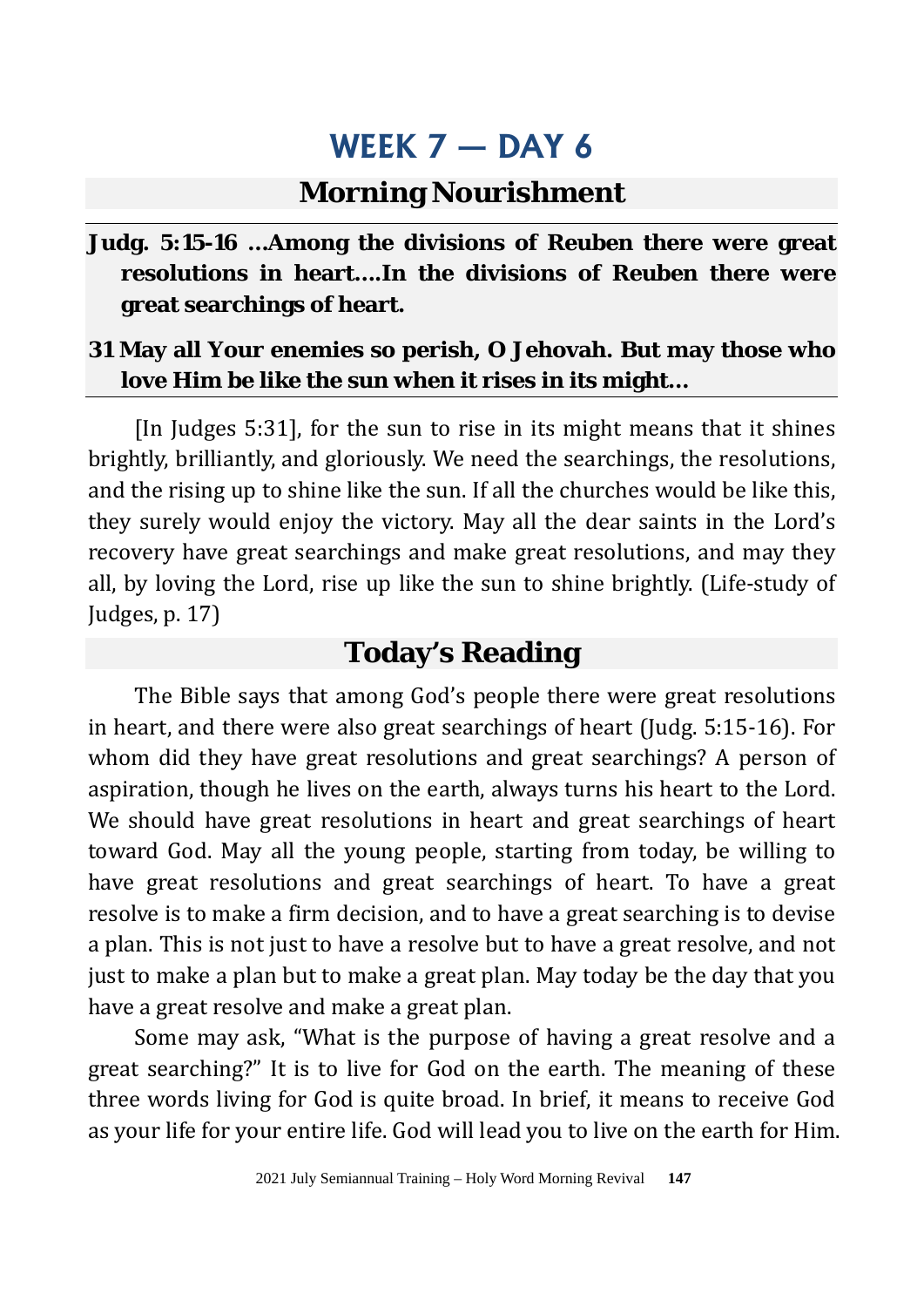### **Morning Nourishment**

**Judg. 5:15-16 …Among the divisions of Reuben there were great resolutions in heart….In the divisions of Reuben there were great searchings of heart.**

#### **31 May all Your enemies so perish, O Jehovah. But may those who love Him be like the sun when it rises in its might…**

[In Judges 5:31], for the sun to rise in its might means that it shines brightly, brilliantly, and gloriously. We need the searchings, the resolutions, and the rising up to shine like the sun. If all the churches would be like this, they surely would enjoy the victory. May all the dear saints in the Lord's recovery have great searchings and make great resolutions, and may they all, by loving the Lord, rise up like the sun to shine brightly. (Life-study of Judges, p. 17)

## **Today's Reading**

The Bible says that among God's people there were great resolutions in heart, and there were also great searchings of heart (Judg. 5:15-16). For whom did they have great resolutions and great searchings? A person of aspiration, though he lives on the earth, always turns his heart to the Lord. We should have great resolutions in heart and great searchings of heart toward God. May all the young people, starting from today, be willing to have great resolutions and great searchings of heart. To have a great resolve is to make a firm decision, and to have a great searching is to devise a plan. This is not just to have a resolve but to have a great resolve, and not just to make a plan but to make a great plan. May today be the day that you have a great resolve and make a great plan.

Some may ask, "What is the purpose of having a great resolve and a great searching?" It is to live for God on the earth. The meaning of these three words living for God is quite broad. In brief, it means to receive God as your life for your entire life. God will lead you to live on the earth for Him.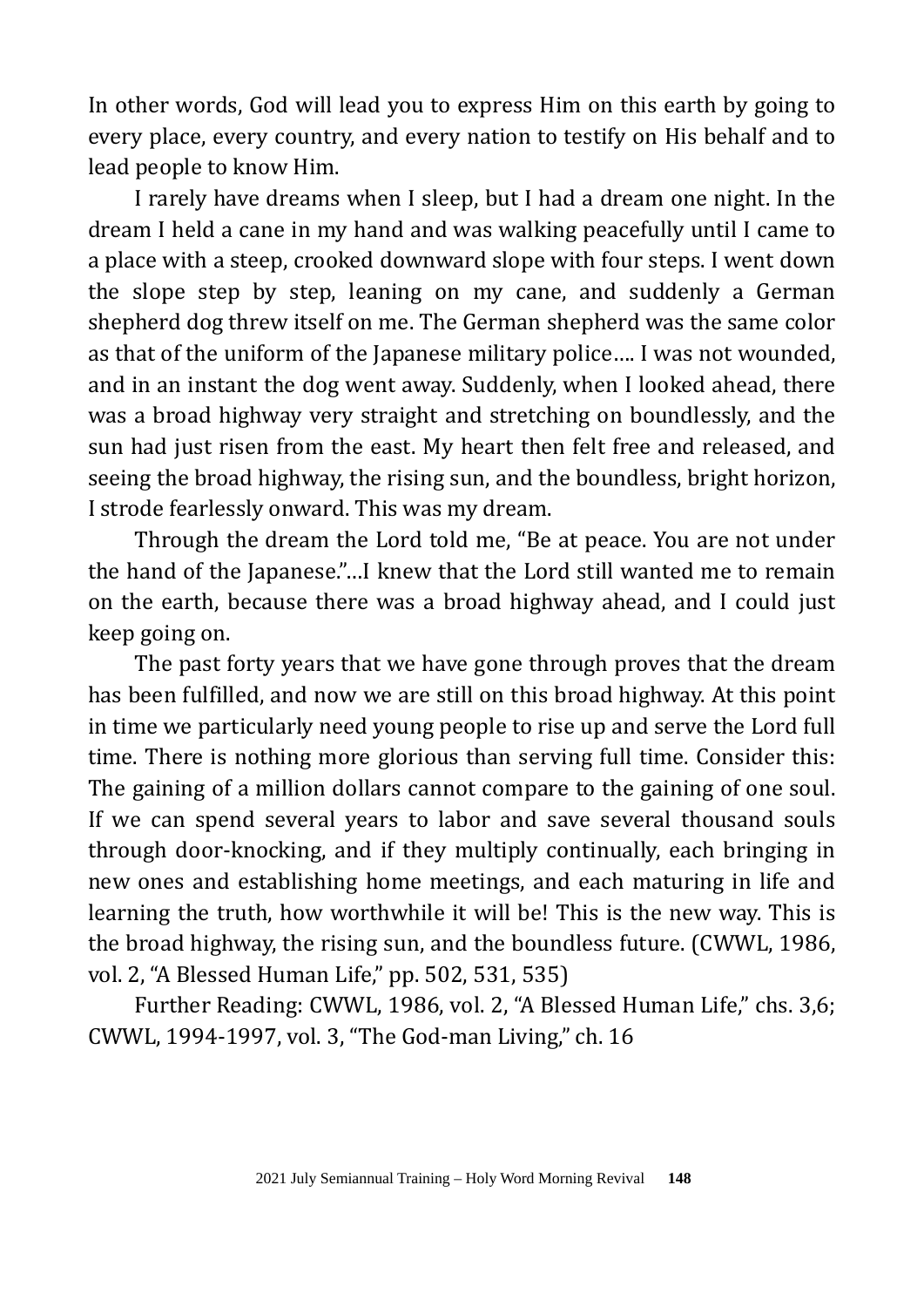In other words, God will lead you to express Him on this earth by going to every place, every country, and every nation to testify on His behalf and to lead people to know Him.

I rarely have dreams when I sleep, but I had a dream one night. In the dream I held a cane in my hand and was walking peacefully until I came to a place with a steep, crooked downward slope with four steps. I went down the slope step by step, leaning on my cane, and suddenly a German shepherd dog threw itself on me. The German shepherd was the same color as that of the uniform of the Japanese military police…. I was not wounded, and in an instant the dog went away. Suddenly, when I looked ahead, there was a broad highway very straight and stretching on boundlessly, and the sun had just risen from the east. My heart then felt free and released, and seeing the broad highway, the rising sun, and the boundless, bright horizon, I strode fearlessly onward. This was my dream.

Through the dream the Lord told me, "Be at peace. You are not under the hand of the Japanese."…I knew that the Lord still wanted me to remain on the earth, because there was a broad highway ahead, and I could just keep going on.

The past forty years that we have gone through proves that the dream has been fulfilled, and now we are still on this broad highway. At this point in time we particularly need young people to rise up and serve the Lord full time. There is nothing more glorious than serving full time. Consider this: The gaining of a million dollars cannot compare to the gaining of one soul. If we can spend several years to labor and save several thousand souls through door-knocking, and if they multiply continually, each bringing in new ones and establishing home meetings, and each maturing in life and learning the truth, how worthwhile it will be! This is the new way. This is the broad highway, the rising sun, and the boundless future. (CWWL, 1986, vol. 2, "A Blessed Human Life," pp. 502, 531, 535)

Further Reading: CWWL, 1986, vol. 2, "A Blessed Human Life," chs. 3,6; CWWL, 1994-1997, vol. 3, "The God-man Living," ch. 16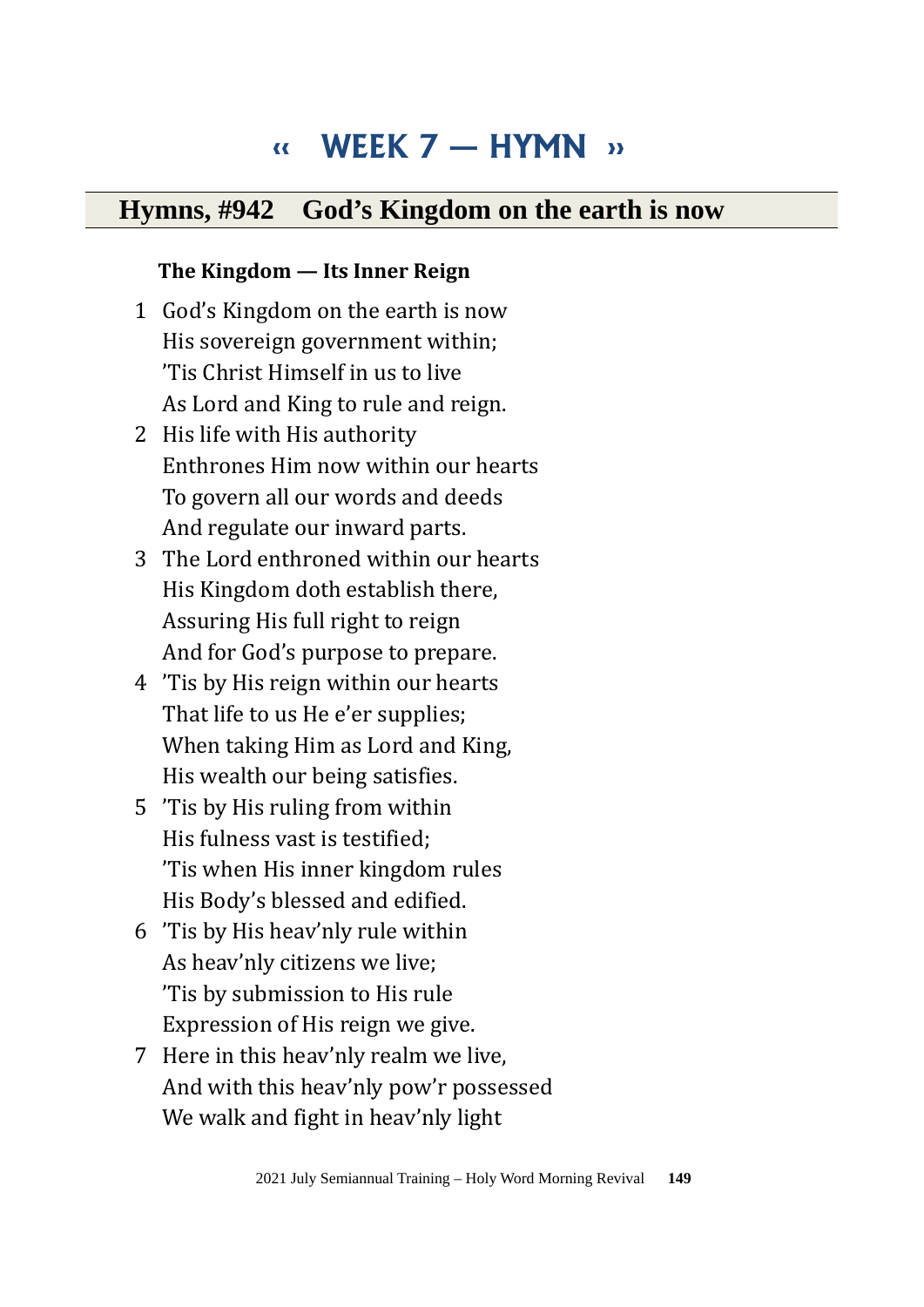# **‹‹ WEEK 7 — HYMN ››**

### **Hymns, #942 God's Kingdom on the earth is now**

#### **The Kingdom — Its Inner Reign**

- 1 God's Kingdom on the earth is now His sovereign government within; 'Tis Christ Himself in us to live As Lord and King to rule and reign.
- 2 His life with His authority Enthrones Him now within our hearts To govern all our words and deeds And regulate our inward parts.
- 3 The Lord enthroned within our hearts His Kingdom doth establish there, Assuring His full right to reign And for God's purpose to prepare.
- 4 'Tis by His reign within our hearts That life to us He e'er supplies; When taking Him as Lord and King, His wealth our being satisfies.
- 5 'Tis by His ruling from within His fulness vast is testified; 'Tis when His inner kingdom rules His Body's blessed and edified.
- 6 'Tis by His heav'nly rule within As heav'nly citizens we live; 'Tis by submission to His rule Expression of His reign we give.
- 7 Here in this heav'nly realm we live, And with this heav'nly pow'r possessed We walk and fight in heav'nly light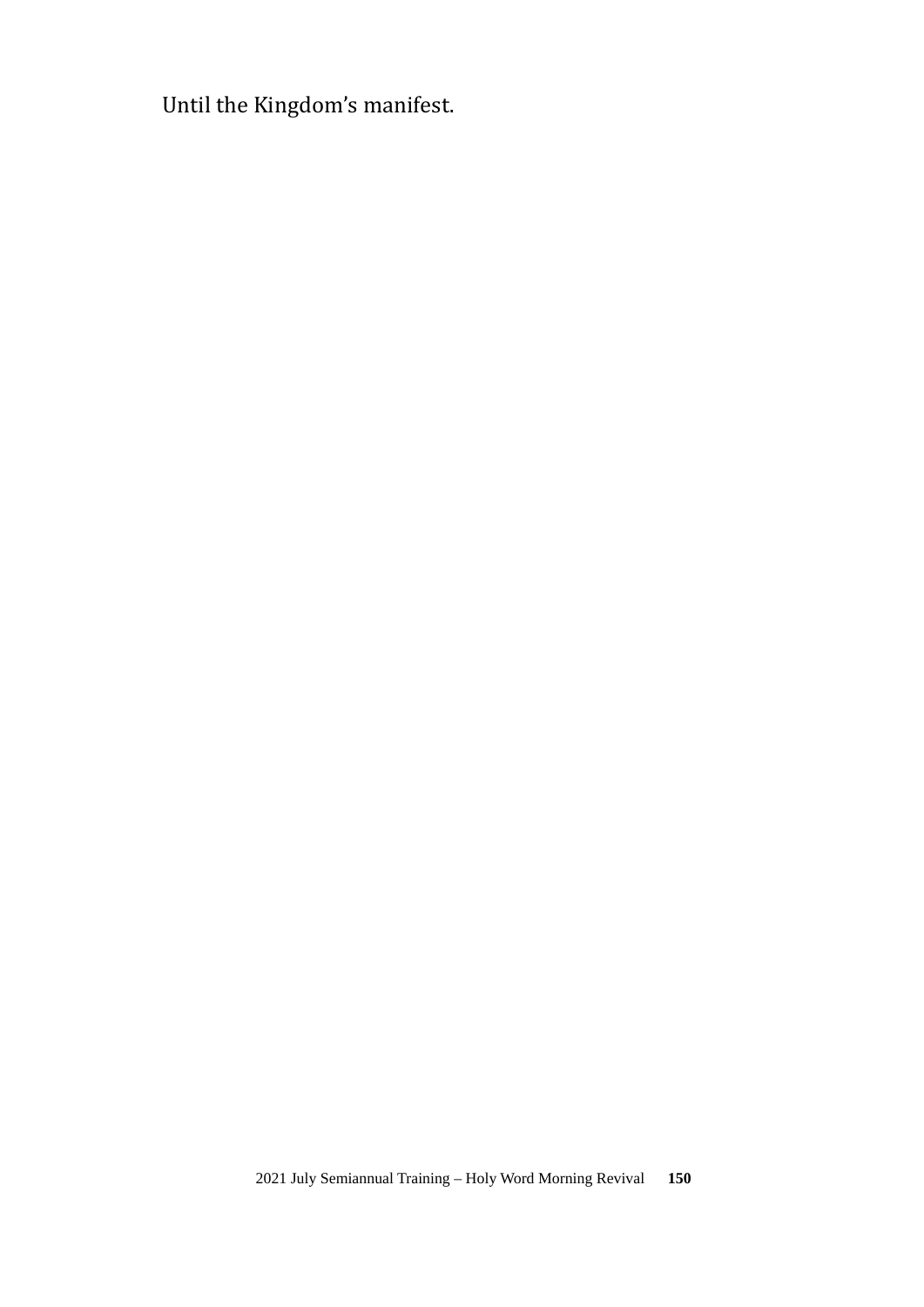Until the Kingdom's manifest.